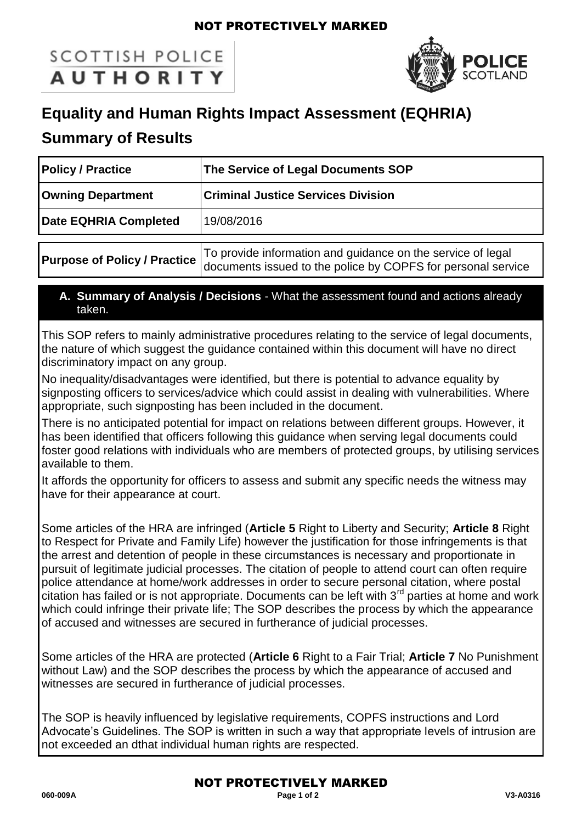#### NOT PROTECTIVELY MARKED

# **SCOTTISH POLICE AUTHORITY**



## **Equality and Human Rights Impact Assessment (EQHRIA)**

### **Summary of Results**

| <b>Policy / Practice</b>            | The Service of Legal Documents SOP                                                                                          |
|-------------------------------------|-----------------------------------------------------------------------------------------------------------------------------|
| <b>Owning Department</b>            | <b>Criminal Justice Services Division</b>                                                                                   |
| Date EQHRIA Completed               | 19/08/2016                                                                                                                  |
| <b>Purpose of Policy / Practice</b> | To provide information and guidance on the service of legal<br>documents issued to the police by COPFS for personal service |

#### **A. Summary of Analysis / Decisions** - What the assessment found and actions already taken.

This SOP refers to mainly administrative procedures relating to the service of legal documents, the nature of which suggest the guidance contained within this document will have no direct discriminatory impact on any group.

No inequality/disadvantages were identified, but there is potential to advance equality by signposting officers to services/advice which could assist in dealing with vulnerabilities. Where appropriate, such signposting has been included in the document.

There is no anticipated potential for impact on relations between different groups. However, it has been identified that officers following this guidance when serving legal documents could foster good relations with individuals who are members of protected groups, by utilising services available to them.

It affords the opportunity for officers to assess and submit any specific needs the witness may have for their appearance at court.

Some articles of the HRA are infringed (**Article 5** Right to Liberty and Security; **Article 8** Right to Respect for Private and Family Life) however the justification for those infringements is that the arrest and detention of people in these circumstances is necessary and proportionate in pursuit of legitimate judicial processes. The citation of people to attend court can often require police attendance at home/work addresses in order to secure personal citation, where postal citation has failed or is not appropriate. Documents can be left with  $3<sup>rd</sup>$  parties at home and work which could infringe their private life; The SOP describes the process by which the appearance of accused and witnesses are secured in furtherance of judicial processes.

Some articles of the HRA are protected (**Article 6** Right to a Fair Trial; **Article 7** No Punishment without Law) and the SOP describes the process by which the appearance of accused and witnesses are secured in furtherance of judicial processes.

The SOP is heavily influenced by legislative requirements, COPFS instructions and Lord Advocate's Guidelines. The SOP is written in such a way that appropriate levels of intrusion are not exceeded an dthat individual human rights are respected.